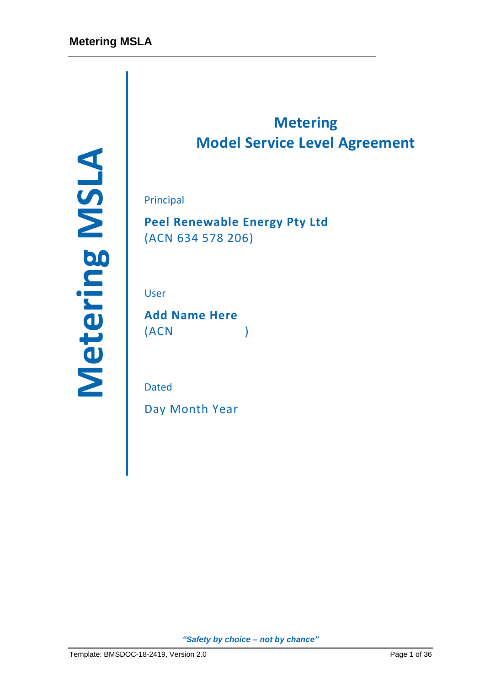Principal<br>
Peel Renewable Energy Pty Ltd<br>
(ACN 634 578 206)<br>
User<br>
Add Name Here<br>
(ACN )<br>
Dated<br>
Day Month Year<br>
Page 1 of 36 *Metering MSDOC-18-2419, Version 2.0* 

# **Metering Model Service Level Agreement**

Principal

**Peel Renewable Energy Pty Ltd** (ACN 634 578 206)

User

**Add Name Here** (ACN )

Dated

Day Month Year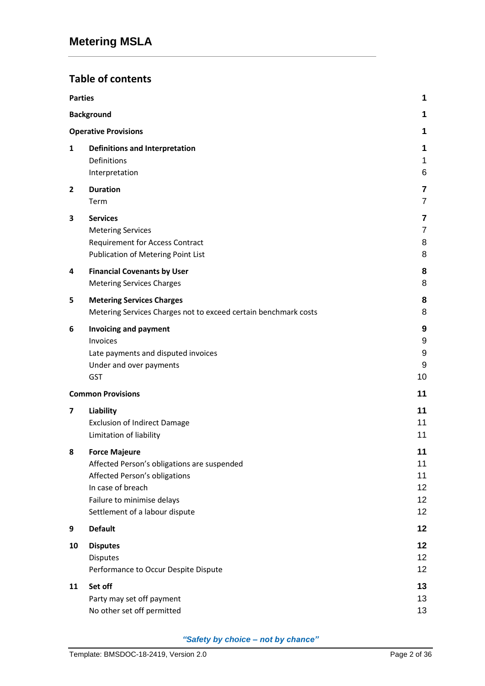# **Table of contents**

| <b>Parties</b> |                                                                                                                                                                                           | 1                                |
|----------------|-------------------------------------------------------------------------------------------------------------------------------------------------------------------------------------------|----------------------------------|
|                | <b>Background</b>                                                                                                                                                                         | 1                                |
|                | <b>Operative Provisions</b>                                                                                                                                                               | 1                                |
| 1              | <b>Definitions and Interpretation</b><br>Definitions<br>Interpretation                                                                                                                    | 1<br>1<br>6                      |
| 2              | <b>Duration</b><br>Term                                                                                                                                                                   | 7<br>$\overline{7}$              |
| 3              | <b>Services</b><br><b>Metering Services</b><br><b>Requirement for Access Contract</b><br>Publication of Metering Point List                                                               | 7<br>$\overline{7}$<br>8<br>8    |
| 4              | <b>Financial Covenants by User</b><br><b>Metering Services Charges</b>                                                                                                                    | 8<br>8                           |
| 5              | <b>Metering Services Charges</b><br>Metering Services Charges not to exceed certain benchmark costs                                                                                       | 8<br>8                           |
| 6              | <b>Invoicing and payment</b><br>Invoices<br>Late payments and disputed invoices<br>Under and over payments<br><b>GST</b>                                                                  | 9<br>9<br>9<br>9<br>10           |
|                | <b>Common Provisions</b>                                                                                                                                                                  | 11                               |
| 7              | Liability<br><b>Exclusion of Indirect Damage</b><br>Limitation of liability                                                                                                               | 11<br>11<br>11                   |
| 8              | <b>Force Majeure</b><br>Affected Person's obligations are suspended<br>Affected Person's obligations<br>In case of breach<br>Failure to minimise delays<br>Settlement of a labour dispute | 11<br>11<br>11<br>12<br>12<br>12 |
| 9              | <b>Default</b>                                                                                                                                                                            | 12                               |
| 10             | <b>Disputes</b><br><b>Disputes</b><br>Performance to Occur Despite Dispute                                                                                                                | 12<br>12<br>12                   |
| 11             | Set off<br>Party may set off payment<br>No other set off permitted                                                                                                                        | 13<br>13<br>13                   |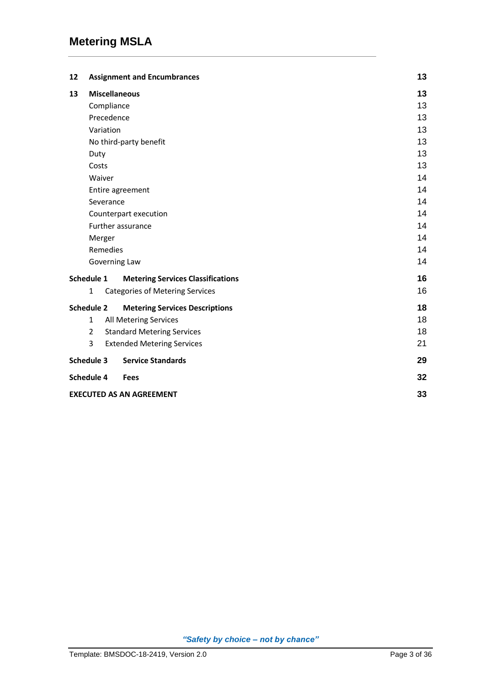| 12                |                | <b>Assignment and Encumbrances</b>       | 13 |
|-------------------|----------------|------------------------------------------|----|
| 13                |                | <b>Miscellaneous</b>                     | 13 |
|                   |                | Compliance                               | 13 |
|                   |                | Precedence                               | 13 |
|                   |                | Variation                                | 13 |
|                   |                | No third-party benefit                   | 13 |
|                   | Duty           |                                          | 13 |
|                   | Costs          |                                          | 13 |
|                   | Waiver         |                                          | 14 |
|                   |                | Entire agreement                         | 14 |
|                   |                | Severance                                | 14 |
|                   |                | Counterpart execution                    | 14 |
|                   |                | Further assurance                        | 14 |
|                   | Merger         |                                          | 14 |
|                   |                | Remedies                                 | 14 |
|                   |                | Governing Law                            | 14 |
| Schedule 1        |                | <b>Metering Services Classifications</b> | 16 |
|                   | $\mathbf{1}$   | <b>Categories of Metering Services</b>   | 16 |
| <b>Schedule 2</b> |                | <b>Metering Services Descriptions</b>    | 18 |
|                   | $\mathbf{1}$   | All Metering Services                    | 18 |
|                   | $\overline{2}$ | <b>Standard Metering Services</b>        | 18 |
|                   | 3              | <b>Extended Metering Services</b>        | 21 |
| Schedule 3        |                | <b>Service Standards</b>                 | 29 |
| Schedule 4        |                | <b>Fees</b>                              | 32 |
|                   |                | <b>EXECUTED AS AN AGREEMENT</b>          | 33 |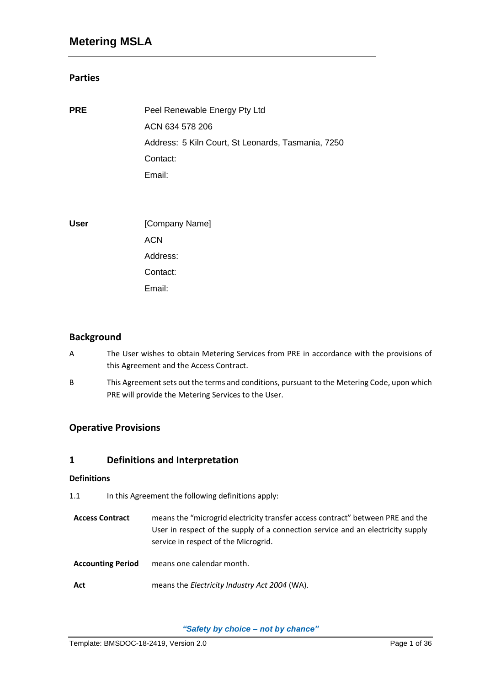### **Parties**

| <b>PRE</b>  | Peel Renewable Energy Pty Ltd                      |
|-------------|----------------------------------------------------|
|             | ACN 634 578 206                                    |
|             | Address: 5 Kiln Court, St Leonards, Tasmania, 7250 |
|             | Contact:                                           |
|             | Email:                                             |
|             |                                                    |
|             |                                                    |
| <b>User</b> | [Company Name]                                     |
|             | <b>ACN</b>                                         |
|             | Address:                                           |

Contact: Email:

## **Background**

- A The User wishes to obtain Metering Services from PRE in accordance with the provisions of this Agreement and the Access Contract.
- B This Agreement sets out the terms and conditions, pursuant to the Metering Code, upon which PRE will provide the Metering Services to the User.

## **Operative Provisions**

### **1 Definitions and Interpretation**

#### **Definitions**

- 1.1 In this Agreement the following definitions apply:
- **Access Contract** means the "microgrid electricity transfer access contract" between PRE and the User in respect of the supply of a connection service and an electricity supply service in respect of the Microgrid.
- **Accounting Period** means one calendar month.
- **Act** means the *Electricity Industry Act 2004* (WA).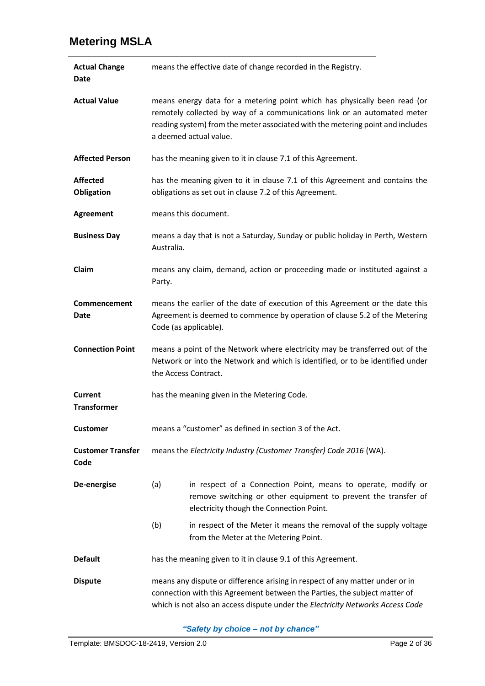| <b>Actual Change</b><br>Date     | means the effective date of change recorded in the Registry.                                                                                                                                                                                                      |                                                                                                                                                                             |
|----------------------------------|-------------------------------------------------------------------------------------------------------------------------------------------------------------------------------------------------------------------------------------------------------------------|-----------------------------------------------------------------------------------------------------------------------------------------------------------------------------|
| <b>Actual Value</b>              | means energy data for a metering point which has physically been read (or<br>remotely collected by way of a communications link or an automated meter<br>reading system) from the meter associated with the metering point and includes<br>a deemed actual value. |                                                                                                                                                                             |
| <b>Affected Person</b>           |                                                                                                                                                                                                                                                                   | has the meaning given to it in clause 7.1 of this Agreement.                                                                                                                |
| <b>Affected</b><br>Obligation    |                                                                                                                                                                                                                                                                   | has the meaning given to it in clause 7.1 of this Agreement and contains the<br>obligations as set out in clause 7.2 of this Agreement.                                     |
| <b>Agreement</b>                 |                                                                                                                                                                                                                                                                   | means this document.                                                                                                                                                        |
| <b>Business Day</b>              | Australia.                                                                                                                                                                                                                                                        | means a day that is not a Saturday, Sunday or public holiday in Perth, Western                                                                                              |
| Claim                            | Party.                                                                                                                                                                                                                                                            | means any claim, demand, action or proceeding made or instituted against a                                                                                                  |
| Commencement<br>Date             | means the earlier of the date of execution of this Agreement or the date this<br>Agreement is deemed to commence by operation of clause 5.2 of the Metering<br>Code (as applicable).                                                                              |                                                                                                                                                                             |
| <b>Connection Point</b>          | means a point of the Network where electricity may be transferred out of the<br>Network or into the Network and which is identified, or to be identified under<br>the Access Contract.                                                                            |                                                                                                                                                                             |
| Current<br><b>Transformer</b>    | has the meaning given in the Metering Code.                                                                                                                                                                                                                       |                                                                                                                                                                             |
| <b>Customer</b>                  |                                                                                                                                                                                                                                                                   | means a "customer" as defined in section 3 of the Act.                                                                                                                      |
| <b>Customer Transfer</b><br>Code | means the Electricity Industry (Customer Transfer) Code 2016 (WA).                                                                                                                                                                                                |                                                                                                                                                                             |
| De-energise                      | (a)                                                                                                                                                                                                                                                               | in respect of a Connection Point, means to operate, modify or<br>remove switching or other equipment to prevent the transfer of<br>electricity though the Connection Point. |
|                                  | (b)                                                                                                                                                                                                                                                               | in respect of the Meter it means the removal of the supply voltage<br>from the Meter at the Metering Point.                                                                 |
| <b>Default</b>                   |                                                                                                                                                                                                                                                                   | has the meaning given to it in clause 9.1 of this Agreement.                                                                                                                |
| <b>Dispute</b>                   | means any dispute or difference arising in respect of any matter under or in<br>connection with this Agreement between the Parties, the subject matter of<br>which is not also an access dispute under the Electricity Networks Access Code                       |                                                                                                                                                                             |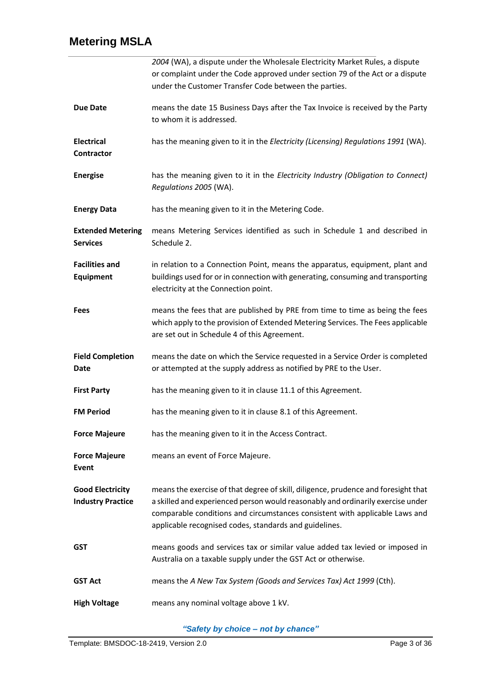|                                                     | 2004 (WA), a dispute under the Wholesale Electricity Market Rules, a dispute<br>or complaint under the Code approved under section 79 of the Act or a dispute<br>under the Customer Transfer Code between the parties.                                                                                         |
|-----------------------------------------------------|----------------------------------------------------------------------------------------------------------------------------------------------------------------------------------------------------------------------------------------------------------------------------------------------------------------|
| <b>Due Date</b>                                     | means the date 15 Business Days after the Tax Invoice is received by the Party<br>to whom it is addressed.                                                                                                                                                                                                     |
| <b>Electrical</b><br><b>Contractor</b>              | has the meaning given to it in the Electricity (Licensing) Regulations 1991 (WA).                                                                                                                                                                                                                              |
| <b>Energise</b>                                     | has the meaning given to it in the Electricity Industry (Obligation to Connect)<br>Regulations 2005 (WA).                                                                                                                                                                                                      |
| <b>Energy Data</b>                                  | has the meaning given to it in the Metering Code.                                                                                                                                                                                                                                                              |
| <b>Extended Metering</b><br><b>Services</b>         | means Metering Services identified as such in Schedule 1 and described in<br>Schedule 2.                                                                                                                                                                                                                       |
| <b>Facilities and</b><br><b>Equipment</b>           | in relation to a Connection Point, means the apparatus, equipment, plant and<br>buildings used for or in connection with generating, consuming and transporting<br>electricity at the Connection point.                                                                                                        |
| <b>Fees</b>                                         | means the fees that are published by PRE from time to time as being the fees<br>which apply to the provision of Extended Metering Services. The Fees applicable<br>are set out in Schedule 4 of this Agreement.                                                                                                |
| <b>Field Completion</b><br>Date                     | means the date on which the Service requested in a Service Order is completed<br>or attempted at the supply address as notified by PRE to the User.                                                                                                                                                            |
| <b>First Party</b>                                  | has the meaning given to it in clause 11.1 of this Agreement.                                                                                                                                                                                                                                                  |
| <b>FM Period</b>                                    | has the meaning given to it in clause 8.1 of this Agreement.                                                                                                                                                                                                                                                   |
| <b>Force Majeure</b>                                | has the meaning given to it in the Access Contract.                                                                                                                                                                                                                                                            |
| <b>Force Majeure</b><br>Event                       | means an event of Force Majeure.                                                                                                                                                                                                                                                                               |
| <b>Good Electricity</b><br><b>Industry Practice</b> | means the exercise of that degree of skill, diligence, prudence and foresight that<br>a skilled and experienced person would reasonably and ordinarily exercise under<br>comparable conditions and circumstances consistent with applicable Laws and<br>applicable recognised codes, standards and guidelines. |
| GST                                                 | means goods and services tax or similar value added tax levied or imposed in<br>Australia on a taxable supply under the GST Act or otherwise.                                                                                                                                                                  |
| <b>GST Act</b>                                      | means the A New Tax System (Goods and Services Tax) Act 1999 (Cth).                                                                                                                                                                                                                                            |
| <b>High Voltage</b>                                 | means any nominal voltage above 1 kV.                                                                                                                                                                                                                                                                          |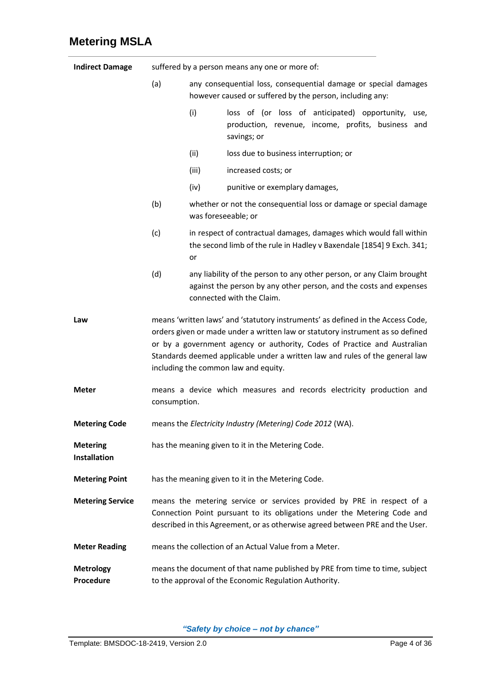| <b>Indirect Damage</b>                                                            | suffered by a person means any one or more of:                                                                                                                                                                                                                                                                                                                        |                     |                                                                                                                                                                          |
|-----------------------------------------------------------------------------------|-----------------------------------------------------------------------------------------------------------------------------------------------------------------------------------------------------------------------------------------------------------------------------------------------------------------------------------------------------------------------|---------------------|--------------------------------------------------------------------------------------------------------------------------------------------------------------------------|
|                                                                                   | (a)<br>any consequential loss, consequential damage or special damages<br>however caused or suffered by the person, including any:                                                                                                                                                                                                                                    |                     |                                                                                                                                                                          |
|                                                                                   |                                                                                                                                                                                                                                                                                                                                                                       | (i)                 | loss of (or loss of anticipated) opportunity,<br>use,<br>production, revenue, income, profits, business and<br>savings; or                                               |
|                                                                                   |                                                                                                                                                                                                                                                                                                                                                                       | (ii)                | loss due to business interruption; or                                                                                                                                    |
|                                                                                   |                                                                                                                                                                                                                                                                                                                                                                       | (iii)               | increased costs; or                                                                                                                                                      |
|                                                                                   |                                                                                                                                                                                                                                                                                                                                                                       | (iv)                | punitive or exemplary damages,                                                                                                                                           |
|                                                                                   | (b)                                                                                                                                                                                                                                                                                                                                                                   | was foreseeable; or | whether or not the consequential loss or damage or special damage                                                                                                        |
|                                                                                   | (c)                                                                                                                                                                                                                                                                                                                                                                   | or                  | in respect of contractual damages, damages which would fall within<br>the second limb of the rule in Hadley v Baxendale [1854] 9 Exch. 341;                              |
|                                                                                   | (d)                                                                                                                                                                                                                                                                                                                                                                   |                     | any liability of the person to any other person, or any Claim brought<br>against the person by any other person, and the costs and expenses<br>connected with the Claim. |
| Law                                                                               | means 'written laws' and 'statutory instruments' as defined in the Access Code,<br>orders given or made under a written law or statutory instrument as so defined<br>or by a government agency or authority, Codes of Practice and Australian<br>Standards deemed applicable under a written law and rules of the general law<br>including the common law and equity. |                     |                                                                                                                                                                          |
| <b>Meter</b>                                                                      | means a device which measures and records electricity production and<br>consumption.                                                                                                                                                                                                                                                                                  |                     |                                                                                                                                                                          |
| means the Electricity Industry (Metering) Code 2012 (WA).<br><b>Metering Code</b> |                                                                                                                                                                                                                                                                                                                                                                       |                     |                                                                                                                                                                          |
| <b>Metering</b><br><b>Installation</b>                                            | has the meaning given to it in the Metering Code.                                                                                                                                                                                                                                                                                                                     |                     |                                                                                                                                                                          |
| <b>Metering Point</b>                                                             | has the meaning given to it in the Metering Code.                                                                                                                                                                                                                                                                                                                     |                     |                                                                                                                                                                          |
| <b>Metering Service</b>                                                           | means the metering service or services provided by PRE in respect of a<br>Connection Point pursuant to its obligations under the Metering Code and<br>described in this Agreement, or as otherwise agreed between PRE and the User.                                                                                                                                   |                     |                                                                                                                                                                          |
| <b>Meter Reading</b>                                                              |                                                                                                                                                                                                                                                                                                                                                                       |                     | means the collection of an Actual Value from a Meter.                                                                                                                    |
| <b>Metrology</b><br>Procedure                                                     | means the document of that name published by PRE from time to time, subject<br>to the approval of the Economic Regulation Authority.                                                                                                                                                                                                                                  |                     |                                                                                                                                                                          |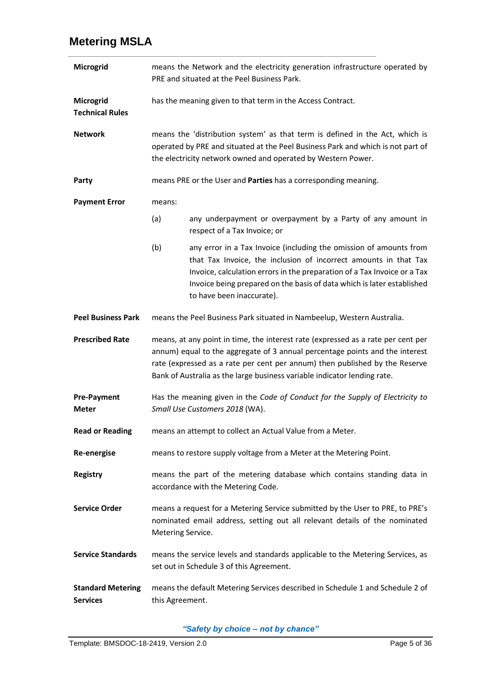| Microgrid                                                                                                                                       | means the Network and the electricity generation infrastructure operated by<br>PRE and situated at the Peel Business Park.                                                                                                                                                                                                  |                                                                                                                                                                                                                                                                                                                           |
|-------------------------------------------------------------------------------------------------------------------------------------------------|-----------------------------------------------------------------------------------------------------------------------------------------------------------------------------------------------------------------------------------------------------------------------------------------------------------------------------|---------------------------------------------------------------------------------------------------------------------------------------------------------------------------------------------------------------------------------------------------------------------------------------------------------------------------|
| Microgrid<br><b>Technical Rules</b>                                                                                                             | has the meaning given to that term in the Access Contract.                                                                                                                                                                                                                                                                  |                                                                                                                                                                                                                                                                                                                           |
| <b>Network</b>                                                                                                                                  | means the 'distribution system' as that term is defined in the Act, which is<br>operated by PRE and situated at the Peel Business Park and which is not part of<br>the electricity network owned and operated by Western Power.                                                                                             |                                                                                                                                                                                                                                                                                                                           |
| Party                                                                                                                                           |                                                                                                                                                                                                                                                                                                                             | means PRE or the User and Parties has a corresponding meaning.                                                                                                                                                                                                                                                            |
| <b>Payment Error</b>                                                                                                                            | means:                                                                                                                                                                                                                                                                                                                      |                                                                                                                                                                                                                                                                                                                           |
|                                                                                                                                                 | (a)                                                                                                                                                                                                                                                                                                                         | any underpayment or overpayment by a Party of any amount in<br>respect of a Tax Invoice; or                                                                                                                                                                                                                               |
|                                                                                                                                                 | (b)                                                                                                                                                                                                                                                                                                                         | any error in a Tax Invoice (including the omission of amounts from<br>that Tax Invoice, the inclusion of incorrect amounts in that Tax<br>Invoice, calculation errors in the preparation of a Tax Invoice or a Tax<br>Invoice being prepared on the basis of data which is later established<br>to have been inaccurate). |
| <b>Peel Business Park</b>                                                                                                                       |                                                                                                                                                                                                                                                                                                                             | means the Peel Business Park situated in Nambeelup, Western Australia.                                                                                                                                                                                                                                                    |
| <b>Prescribed Rate</b>                                                                                                                          | means, at any point in time, the interest rate (expressed as a rate per cent per<br>annum) equal to the aggregate of 3 annual percentage points and the interest<br>rate (expressed as a rate per cent per annum) then published by the Reserve<br>Bank of Australia as the large business variable indicator lending rate. |                                                                                                                                                                                                                                                                                                                           |
| <b>Pre-Payment</b><br><b>Meter</b>                                                                                                              | Has the meaning given in the Code of Conduct for the Supply of Electricity to<br>Small Use Customers 2018 (WA).                                                                                                                                                                                                             |                                                                                                                                                                                                                                                                                                                           |
| <b>Read or Reading</b>                                                                                                                          |                                                                                                                                                                                                                                                                                                                             | means an attempt to collect an Actual Value from a Meter.                                                                                                                                                                                                                                                                 |
| <b>Re-energise</b>                                                                                                                              |                                                                                                                                                                                                                                                                                                                             | means to restore supply voltage from a Meter at the Metering Point.                                                                                                                                                                                                                                                       |
| <b>Registry</b>                                                                                                                                 | means the part of the metering database which contains standing data in<br>accordance with the Metering Code.                                                                                                                                                                                                               |                                                                                                                                                                                                                                                                                                                           |
| <b>Service Order</b>                                                                                                                            | means a request for a Metering Service submitted by the User to PRE, to PRE's<br>nominated email address, setting out all relevant details of the nominated<br>Metering Service.                                                                                                                                            |                                                                                                                                                                                                                                                                                                                           |
| <b>Service Standards</b>                                                                                                                        |                                                                                                                                                                                                                                                                                                                             | means the service levels and standards applicable to the Metering Services, as<br>set out in Schedule 3 of this Agreement.                                                                                                                                                                                                |
| <b>Standard Metering</b><br>means the default Metering Services described in Schedule 1 and Schedule 2 of<br><b>Services</b><br>this Agreement. |                                                                                                                                                                                                                                                                                                                             |                                                                                                                                                                                                                                                                                                                           |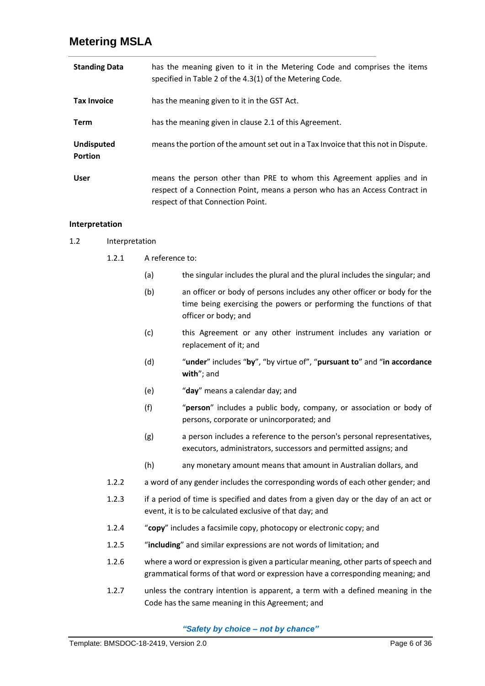| <b>Standing Data</b>                | has the meaning given to it in the Metering Code and comprises the items<br>specified in Table 2 of the 4.3(1) of the Metering Code.                                                      |
|-------------------------------------|-------------------------------------------------------------------------------------------------------------------------------------------------------------------------------------------|
| <b>Tax Invoice</b>                  | has the meaning given to it in the GST Act.                                                                                                                                               |
| Term                                | has the meaning given in clause 2.1 of this Agreement.                                                                                                                                    |
| <b>Undisputed</b><br><b>Portion</b> | means the portion of the amount set out in a Tax Invoice that this not in Dispute.                                                                                                        |
| <b>User</b>                         | means the person other than PRE to whom this Agreement applies and in<br>respect of a Connection Point, means a person who has an Access Contract in<br>respect of that Connection Point. |

#### **Interpretation**

- 1.2 Interpretation
	- 1.2.1 A reference to:
		- (a) the singular includes the plural and the plural includes the singular; and
		- (b) an officer or body of persons includes any other officer or body for the time being exercising the powers or performing the functions of that officer or body; and
		- (c) this Agreement or any other instrument includes any variation or replacement of it; and
		- (d) "**under**" includes "**by**", "by virtue of", "**pursuant to**" and "**in accordance with**"; and
		- (e) "**day**" means a calendar day; and
		- (f) "**person**" includes a public body, company, or association or body of persons, corporate or unincorporated; and
		- (g) a person includes a reference to the person's personal representatives, executors, administrators, successors and permitted assigns; and
		- (h) any monetary amount means that amount in Australian dollars, and
	- 1.2.2 a word of any gender includes the corresponding words of each other gender; and
	- 1.2.3 if a period of time is specified and dates from a given day or the day of an act or event, it is to be calculated exclusive of that day; and
	- 1.2.4 "**copy**" includes a facsimile copy, photocopy or electronic copy; and
	- 1.2.5 "**including**" and similar expressions are not words of limitation; and
	- 1.2.6 where a word or expression is given a particular meaning, other parts of speech and grammatical forms of that word or expression have a corresponding meaning; and
	- 1.2.7 unless the contrary intention is apparent, a term with a defined meaning in the Code has the same meaning in this Agreement; and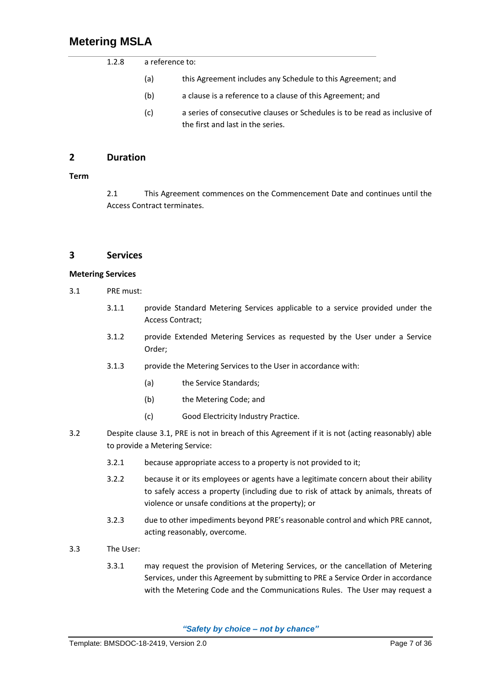| 1.2.8 | a reference to: |                                                                                                                 |  |  |  |
|-------|-----------------|-----------------------------------------------------------------------------------------------------------------|--|--|--|
|       | (a)             | this Agreement includes any Schedule to this Agreement; and                                                     |  |  |  |
|       | (b)             | a clause is a reference to a clause of this Agreement; and                                                      |  |  |  |
|       | (c)             | a series of consecutive clauses or Schedules is to be read as inclusive of<br>the first and last in the series. |  |  |  |

## **2 Duration**

#### <span id="page-9-0"></span>**Term**

2.1 This Agreement commences on the Commencement Date and continues until the Access Contract terminates.

### **3 Services**

#### **Metering Services**

- <span id="page-9-1"></span>3.1 PRE must:
	- 3.1.1 provide Standard Metering Services applicable to a service provided under the Access Contract;
	- 3.1.2 provide Extended Metering Services as requested by the User under a Service Order;
	- 3.1.3 provide the Metering Services to the User in accordance with:
		- (a) the Service Standards;
		- (b) the Metering Code; and
		- (c) Good Electricity Industry Practice.
- 3.2 Despite clause [3.1,](#page-9-1) PRE is not in breach of this Agreement if it is not (acting reasonably) able to provide a Metering Service:
	- 3.2.1 because appropriate access to a property is not provided to it;
	- 3.2.2 because it or its employees or agents have a legitimate concern about their ability to safely access a property (including due to risk of attack by animals, threats of violence or unsafe conditions at the property); or
	- 3.2.3 due to other impediments beyond PRE's reasonable control and which PRE cannot, acting reasonably, overcome.
- 3.3 The User:
	- 3.3.1 may request the provision of Metering Services, or the cancellation of Metering Services, under this Agreement by submitting to PRE a Service Order in accordance with the Metering Code and the Communications Rules. The User may request a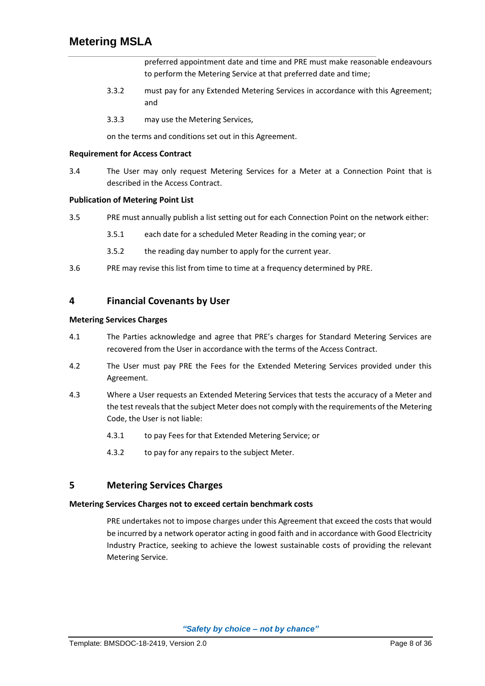preferred appointment date and time and PRE must make reasonable endeavours to perform the Metering Service at that preferred date and time;

- 3.3.2 must pay for any Extended Metering Services in accordance with this Agreement; and
- 3.3.3 may use the Metering Services,

on the terms and conditions set out in this Agreement.

#### **Requirement for Access Contract**

3.4 The User may only request Metering Services for a Meter at a Connection Point that is described in the Access Contract.

#### **Publication of Metering Point List**

- 3.5 PRE must annually publish a list setting out for each Connection Point on the network either:
	- 3.5.1 each date for a scheduled Meter Reading in the coming year; or
	- 3.5.2 the reading day number to apply for the current year.
- 3.6 PRE may revise this list from time to time at a frequency determined by PRE.

## **4 Financial Covenants by User**

#### **Metering Services Charges**

- 4.1 The Parties acknowledge and agree that PRE's charges for Standard Metering Services are recovered from the User in accordance with the terms of the Access Contract.
- 4.2 The User must pay PRE the Fees for the Extended Metering Services provided under this Agreement.
- 4.3 Where a User requests an Extended Metering Services that tests the accuracy of a Meter and the test reveals that the subject Meter does not comply with the requirements of the Metering Code, the User is not liable:
	- 4.3.1 to pay Fees for that Extended Metering Service; or
	- 4.3.2 to pay for any repairs to the subject Meter.

## **5 Metering Services Charges**

#### **Metering Services Charges not to exceed certain benchmark costs**

PRE undertakes not to impose charges under this Agreement that exceed the costs that would be incurred by a network operator acting in good faith and in accordance with Good Electricity Industry Practice, seeking to achieve the lowest sustainable costs of providing the relevant Metering Service.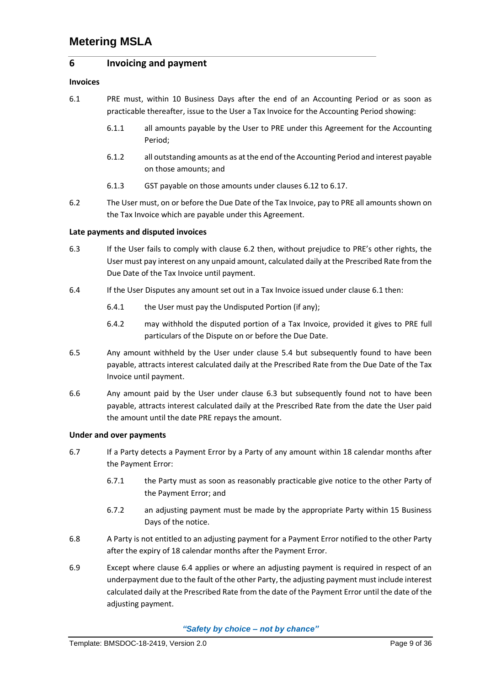### **6 Invoicing and payment**

#### **Invoices**

- <span id="page-11-1"></span>6.1 PRE must, within 10 Business Days after the end of an Accounting Period or as soon as practicable thereafter, issue to the User a Tax Invoice for the Accounting Period showing:
	- 6.1.1 all amounts payable by the User to PRE under this Agreement for the Accounting Period;
	- 6.1.2 all outstanding amounts as at the end of the Accounting Period and interest payable on those amounts; and
	- 6.1.3 GST payable on those amounts under clauses [6.12](#page-12-0) t[o 6.17.](#page-12-1)
- <span id="page-11-0"></span>6.2 The User must, on or before the Due Date of the Tax Invoice, pay to PRE all amounts shown on the Tax Invoice which are payable under this Agreement.

#### **Late payments and disputed invoices**

- <span id="page-11-2"></span>6.3 If the User fails to comply with clause [6.2](#page-11-0) then, without prejudice to PRE's other rights, the User must pay interest on any unpaid amount, calculated daily at the Prescribed Rate from the Due Date of the Tax Invoice until payment.
- <span id="page-11-3"></span>6.4 If the User Disputes any amount set out in a Tax Invoice issued under clause [6.1](#page-11-1) then:
	- 6.4.1 the User must pay the Undisputed Portion (if any);
	- 6.4.2 may withhold the disputed portion of a Tax Invoice, provided it gives to PRE full particulars of the Dispute on or before the Due Date.
- 6.5 Any amount withheld by the User under clause 5.4 but subsequently found to have been payable, attracts interest calculated daily at the Prescribed Rate from the Due Date of the Tax Invoice until payment.
- 6.6 Any amount paid by the User under clause [6.3](#page-11-2) but subsequently found not to have been payable, attracts interest calculated daily at the Prescribed Rate from the date the User paid the amount until the date PRE repays the amount.

#### **Under and over payments**

- 6.7 If a Party detects a Payment Error by a Party of any amount within 18 calendar months after the Payment Error:
	- 6.7.1 the Party must as soon as reasonably practicable give notice to the other Party of the Payment Error; and
	- 6.7.2 an adjusting payment must be made by the appropriate Party within 15 Business Days of the notice.
- 6.8 A Party is not entitled to an adjusting payment for a Payment Error notified to the other Party after the expiry of 18 calendar months after the Payment Error.
- 6.9 Except where clause [6.4](#page-11-3) applies or where an adjusting payment is required in respect of an underpayment due to the fault of the other Party, the adjusting payment must include interest calculated daily at the Prescribed Rate from the date of the Payment Error until the date of the adjusting payment.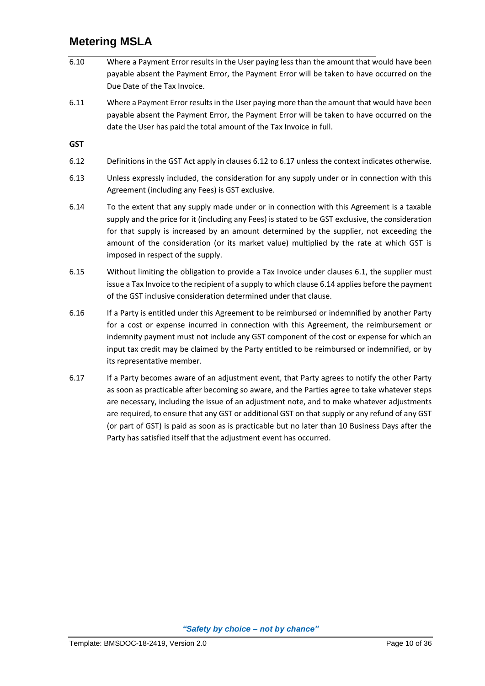- 6.10 Where a Payment Error results in the User paying less than the amount that would have been payable absent the Payment Error, the Payment Error will be taken to have occurred on the Due Date of the Tax Invoice.
- 6.11 Where a Payment Error results in the User paying more than the amount that would have been payable absent the Payment Error, the Payment Error will be taken to have occurred on the date the User has paid the total amount of the Tax Invoice in full.

**GST**

- <span id="page-12-0"></span>6.12 Definitions in the GST Act apply in clauses [6.12](#page-12-0) t[o 6.17](#page-12-1) unless the context indicates otherwise.
- 6.13 Unless expressly included, the consideration for any supply under or in connection with this Agreement (including any Fees) is GST exclusive.
- <span id="page-12-2"></span>6.14 To the extent that any supply made under or in connection with this Agreement is a taxable supply and the price for it (including any Fees) is stated to be GST exclusive, the consideration for that supply is increased by an amount determined by the supplier, not exceeding the amount of the consideration (or its market value) multiplied by the rate at which GST is imposed in respect of the supply.
- 6.15 Without limiting the obligation to provide a Tax Invoice under clauses [6.1,](#page-11-1) the supplier must issue a Tax Invoice to the recipient of a supply to which clause [6.14](#page-12-2) applies before the payment of the GST inclusive consideration determined under that clause.
- 6.16 If a Party is entitled under this Agreement to be reimbursed or indemnified by another Party for a cost or expense incurred in connection with this Agreement, the reimbursement or indemnity payment must not include any GST component of the cost or expense for which an input tax credit may be claimed by the Party entitled to be reimbursed or indemnified, or by its representative member.
- <span id="page-12-1"></span>6.17 If a Party becomes aware of an adjustment event, that Party agrees to notify the other Party as soon as practicable after becoming so aware, and the Parties agree to take whatever steps are necessary, including the issue of an adjustment note, and to make whatever adjustments are required, to ensure that any GST or additional GST on that supply or any refund of any GST (or part of GST) is paid as soon as is practicable but no later than 10 Business Days after the Party has satisfied itself that the adjustment event has occurred.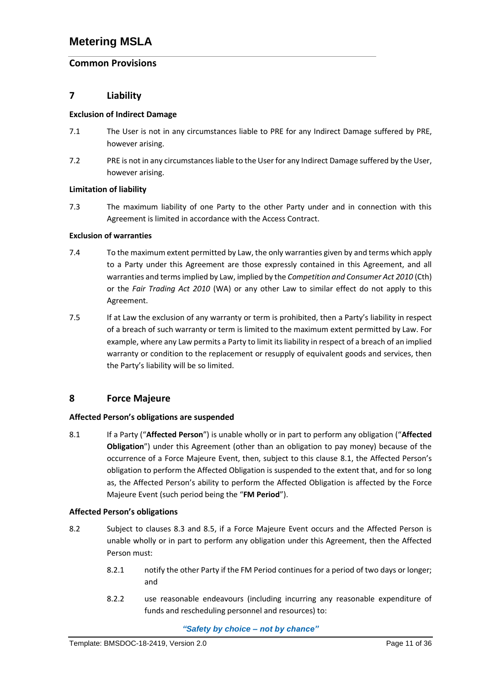# **Common Provisions**

## **7 Liability**

#### **Exclusion of Indirect Damage**

- 7.1 The User is not in any circumstances liable to PRE for any Indirect Damage suffered by PRE, however arising.
- 7.2 PRE is not in any circumstances liable to the User for any Indirect Damage suffered by the User, however arising.

#### **Limitation of liability**

7.3 The maximum liability of one Party to the other Party under and in connection with this Agreement is limited in accordance with the Access Contract.

#### **Exclusion of warranties**

- 7.4 To the maximum extent permitted by Law, the only warranties given by and terms which apply to a Party under this Agreement are those expressly contained in this Agreement, and all warranties and terms implied by Law, implied by the *Competition and Consumer Act 2010* (Cth) or the *Fair Trading Act 2010* (WA) or any other Law to similar effect do not apply to this Agreement.
- 7.5 If at Law the exclusion of any warranty or term is prohibited, then a Party's liability in respect of a breach of such warranty or term is limited to the maximum extent permitted by Law. For example, where any Law permits a Party to limit its liability in respect of a breach of an implied warranty or condition to the replacement or resupply of equivalent goods and services, then the Party's liability will be so limited.

## **8 Force Majeure**

### **Affected Person's obligations are suspended**

<span id="page-13-0"></span>8.1 If a Party ("**Affected Person**") is unable wholly or in part to perform any obligation ("**Affected Obligation**") under this Agreement (other than an obligation to pay money) because of the occurrence of a Force Majeure Event, then, subject to this clause [8.1](#page-13-0), the Affected Person's obligation to perform the Affected Obligation is suspended to the extent that, and for so long as, the Affected Person's ability to perform the Affected Obligation is affected by the Force Majeure Event (such period being the "**FM Period**").

### **Affected Person's obligations**

- <span id="page-13-1"></span>8.2 Subject to clauses [8.3](#page-14-1) and [8.5,](#page-14-2) if a Force Majeure Event occurs and the Affected Person is unable wholly or in part to perform any obligation under this Agreement, then the Affected Person must:
	- 8.2.1 notify the other Party if the FM Period continues for a period of two days or longer; and
	- 8.2.2 use reasonable endeavours (including incurring any reasonable expenditure of funds and rescheduling personnel and resources) to: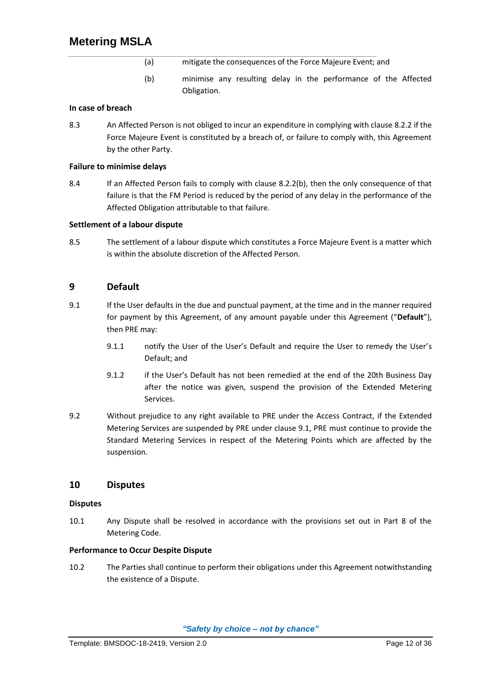- (a) mitigate the consequences of the Force Majeure Event; and
- (b) minimise any resulting delay in the performance of the Affected Obligation.

#### <span id="page-14-3"></span>**In case of breach**

<span id="page-14-1"></span>8.3 An Affected Person is not obliged to incur an expenditure in complying with claus[e 8.2.2](#page-13-1) if the Force Majeure Event is constituted by a breach of, or failure to comply with, this Agreement by the other Party.

#### **Failure to minimise delays**

8.4 If an Affected Person fails to comply with clause [8.2.2\(b\),](#page-14-3) then the only consequence of that failure is that the FM Period is reduced by the period of any delay in the performance of the Affected Obligation attributable to that failure.

#### **Settlement of a labour dispute**

<span id="page-14-2"></span>8.5 The settlement of a labour dispute which constitutes a Force Majeure Event is a matter which is within the absolute discretion of the Affected Person.

### **9 Default**

- <span id="page-14-0"></span>9.1 If the User defaults in the due and punctual payment, at the time and in the manner required for payment by this Agreement, of any amount payable under this Agreement ("**Default**"), then PRE may:
	- 9.1.1 notify the User of the User's Default and require the User to remedy the User's Default; and
	- 9.1.2 if the User's Default has not been remedied at the end of the 20th Business Day after the notice was given, suspend the provision of the Extended Metering Services.
- 9.2 Without prejudice to any right available to PRE under the Access Contract, if the Extended Metering Services are suspended by PRE under clause [9.1,](#page-14-0) PRE must continue to provide the Standard Metering Services in respect of the Metering Points which are affected by the suspension.

### **10 Disputes**

#### **Disputes**

10.1 Any Dispute shall be resolved in accordance with the provisions set out in Part 8 of the Metering Code.

#### **Performance to Occur Despite Dispute**

10.2 The Parties shall continue to perform their obligations under this Agreement notwithstanding the existence of a Dispute.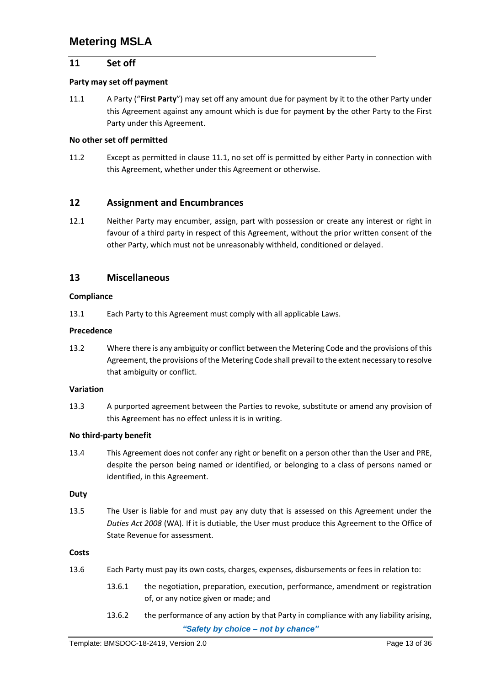### **11 Set off**

#### **Party may set off payment**

<span id="page-15-0"></span>11.1 A Party ("**First Party**") may set off any amount due for payment by it to the other Party under this Agreement against any amount which is due for payment by the other Party to the First Party under this Agreement.

#### **No other set off permitted**

11.2 Except as permitted in clause [11.1,](#page-15-0) no set off is permitted by either Party in connection with this Agreement, whether under this Agreement or otherwise.

#### **12 Assignment and Encumbrances**

12.1 Neither Party may encumber, assign, part with possession or create any interest or right in favour of a third party in respect of this Agreement, without the prior written consent of the other Party, which must not be unreasonably withheld, conditioned or delayed.

### **13 Miscellaneous**

#### **Compliance**

13.1 Each Party to this Agreement must comply with all applicable Laws.

#### **Precedence**

13.2 Where there is any ambiguity or conflict between the Metering Code and the provisions of this Agreement, the provisions of the Metering Code shall prevail to the extent necessary to resolve that ambiguity or conflict.

#### **Variation**

13.3 A purported agreement between the Parties to revoke, substitute or amend any provision of this Agreement has no effect unless it is in writing.

#### **No third‐party benefit**

13.4 This Agreement does not confer any right or benefit on a person other than the User and PRE, despite the person being named or identified, or belonging to a class of persons named or identified, in this Agreement.

#### **Duty**

13.5 The User is liable for and must pay any duty that is assessed on this Agreement under the *Duties Act 2008* (WA). If it is dutiable, the User must produce this Agreement to the Office of State Revenue for assessment.

#### **Costs**

- 13.6 Each Party must pay its own costs, charges, expenses, disbursements or fees in relation to:
	- 13.6.1 the negotiation, preparation, execution, performance, amendment or registration of, or any notice given or made; and
	- *"Safety by choice – not by chance"* 13.6.2 the performance of any action by that Party in compliance with any liability arising,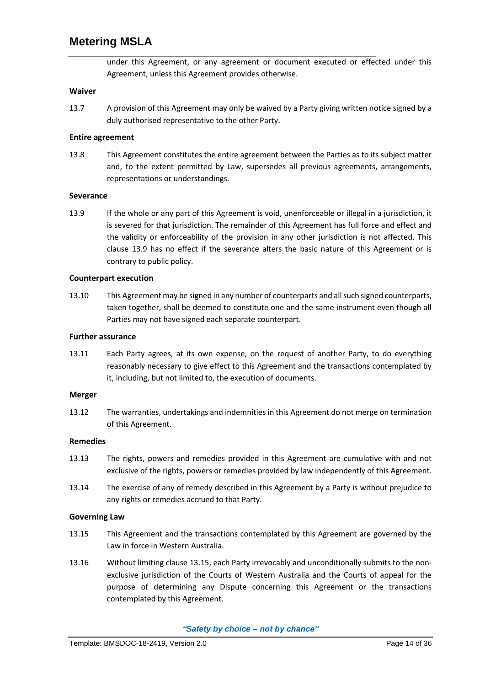under this Agreement, or any agreement or document executed or effected under this Agreement, unless this Agreement provides otherwise.

#### **Waiver**

13.7 A provision of this Agreement may only be waived by a Party giving written notice signed by a duly authorised representative to the other Party.

#### **Entire agreement**

13.8 This Agreement constitutes the entire agreement between the Parties as to its subject matter and, to the extent permitted by Law, supersedes all previous agreements, arrangements, representations or understandings.

#### **Severance**

<span id="page-16-0"></span>13.9 If the whole or any part of this Agreement is void, unenforceable or illegal in a jurisdiction, it is severed for that jurisdiction. The remainder of this Agreement has full force and effect and the validity or enforceability of the provision in any other jurisdiction is not affected. This clause [13.9](#page-16-0) has no effect if the severance alters the basic nature of this Agreement or is contrary to public policy.

#### **Counterpart execution**

13.10 This Agreement may be signed in any number of counterparts and all such signed counterparts, taken together, shall be deemed to constitute one and the same instrument even though all Parties may not have signed each separate counterpart.

#### **Further assurance**

13.11 Each Party agrees, at its own expense, on the request of another Party, to do everything reasonably necessary to give effect to this Agreement and the transactions contemplated by it, including, but not limited to, the execution of documents.

#### **Merger**

13.12 The warranties, undertakings and indemnities in this Agreement do not merge on termination of this Agreement.

#### **Remedies**

- 13.13 The rights, powers and remedies provided in this Agreement are cumulative with and not exclusive of the rights, powers or remedies provided by law independently of this Agreement.
- 13.14 The exercise of any of remedy described in this Agreement by a Party is without prejudice to any rights or remedies accrued to that Party.

#### **Governing Law**

- <span id="page-16-1"></span>13.15 This Agreement and the transactions contemplated by this Agreement are governed by the Law in force in Western Australia.
- 13.16 Without limiting claus[e 13.15](#page-16-1), each Party irrevocably and unconditionally submits to the nonexclusive jurisdiction of the Courts of Western Australia and the Courts of appeal for the purpose of determining any Dispute concerning this Agreement or the transactions contemplated by this Agreement.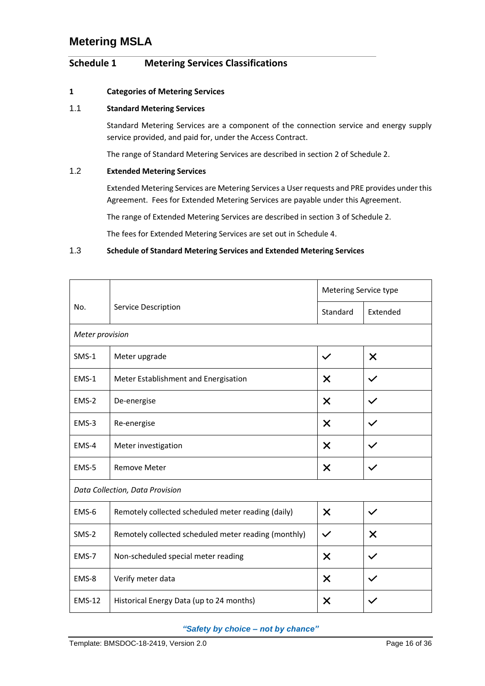# <span id="page-18-0"></span>**Schedule 1 Metering Services Classifications**

#### **1 Categories of Metering Services**

### 1.1 **Standard Metering Services**

Standard Metering Services are a component of the connection service and energy supply service provided, and paid for, under the Access Contract.

The range of Standard Metering Services are described in section 2 o[f Schedule 2.](#page-20-0)

#### 1.2 **Extended Metering Services**

Extended Metering Services are Metering Services a User requests and PRE provides under this Agreement. Fees for Extended Metering Services are payable under this Agreement.

The range of Extended Metering Services are described in section 3 o[f Schedule 2.](#page-20-0)

The fees for Extended Metering Services are set out i[n Schedule 4.](#page-34-0)

#### 1.3 **Schedule of Standard Metering Services and Extended Metering Services**

|                                 |                                                      | Metering Service type     |                           |  |
|---------------------------------|------------------------------------------------------|---------------------------|---------------------------|--|
| No.                             | Service Description                                  | Standard                  | Extended                  |  |
|                                 | Meter provision                                      |                           |                           |  |
| $SMS-1$                         | Meter upgrade                                        | $\checkmark$              | $\times$                  |  |
| EMS-1                           | Meter Establishment and Energisation                 | X                         | $\checkmark$              |  |
| EMS-2                           | De-energise                                          | X                         |                           |  |
| EMS-3                           | Re-energise                                          | $\boldsymbol{\mathsf{X}}$ | $\checkmark$              |  |
| EMS-4                           | Meter investigation                                  | X                         |                           |  |
| EMS-5                           | <b>Remove Meter</b>                                  | X<br>$\checkmark$         |                           |  |
| Data Collection, Data Provision |                                                      |                           |                           |  |
| EMS-6                           | Remotely collected scheduled meter reading (daily)   | $\times$                  | $\checkmark$              |  |
| $SMS-2$                         | Remotely collected scheduled meter reading (monthly) | $\checkmark$              | $\boldsymbol{\mathsf{X}}$ |  |
| EMS-7                           | Non-scheduled special meter reading                  | $\boldsymbol{\mathsf{X}}$ | $\checkmark$              |  |
| EMS-8                           | Verify meter data                                    | X                         |                           |  |
| <b>EMS-12</b>                   | Historical Energy Data (up to 24 months)             | $\boldsymbol{\mathsf{x}}$ |                           |  |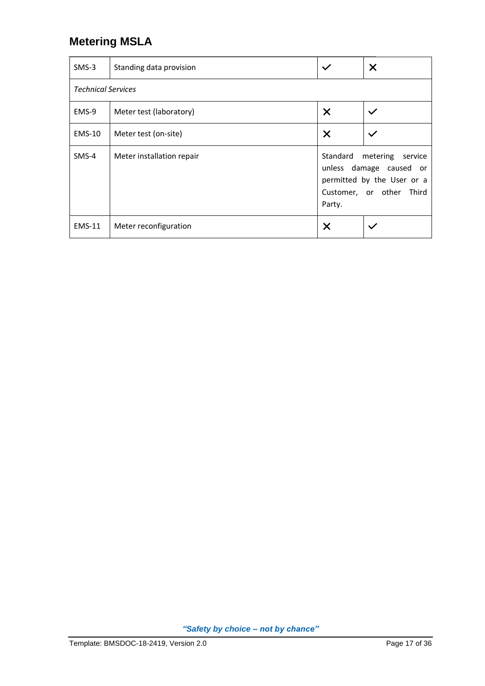| $SMS-3$                   | Standing data provision                          | $\checkmark$                                                                                                                | $\times$     |
|---------------------------|--------------------------------------------------|-----------------------------------------------------------------------------------------------------------------------------|--------------|
| <b>Technical Services</b> |                                                  |                                                                                                                             |              |
| EMS-9                     | Meter test (laboratory)                          | X                                                                                                                           | $\checkmark$ |
| <b>EMS-10</b>             | $\times$<br>Meter test (on-site)<br>$\checkmark$ |                                                                                                                             |              |
| $SMS-4$                   | Meter installation repair                        | Standard metering<br>service<br>unless damage caused or<br>permitted by the User or a<br>Customer, or other Third<br>Party. |              |
| <b>EMS-11</b>             | Meter reconfiguration                            | X                                                                                                                           |              |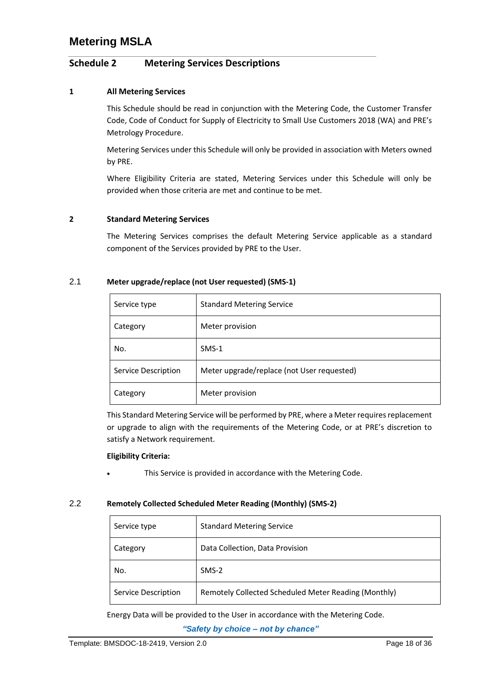## <span id="page-20-0"></span>**Schedule 2 Metering Services Descriptions**

#### **1 All Metering Services**

This Schedule should be read in conjunction with the Metering Code, the Customer Transfer Code, Code of Conduct for Supply of Electricity to Small Use Customers 2018 (WA) and PRE's Metrology Procedure.

Metering Services under this Schedule will only be provided in association with Meters owned by PRE.

Where Eligibility Criteria are stated, Metering Services under this Schedule will only be provided when those criteria are met and continue to be met.

#### **2 Standard Metering Services**

The Metering Services comprises the default Metering Service applicable as a standard component of the Services provided by PRE to the User.

#### 2.1 **Meter upgrade/replace (not User requested) (SMS‐1)**

| Service type        | <b>Standard Metering Service</b>           |
|---------------------|--------------------------------------------|
| Category            | Meter provision                            |
| No.                 | $SMS-1$                                    |
| Service Description | Meter upgrade/replace (not User requested) |
| Category            | Meter provision                            |

This Standard Metering Service will be performed by PRE, where a Meter requires replacement or upgrade to align with the requirements of the Metering Code, or at PRE's discretion to satisfy a Network requirement.

#### **Eligibility Criteria:**

This Service is provided in accordance with the Metering Code.

#### 2.2 **Remotely Collected Scheduled Meter Reading (Monthly) (SMS‐2)**

| Service type        | <b>Standard Metering Service</b>                     |
|---------------------|------------------------------------------------------|
| Category            | Data Collection, Data Provision                      |
| No.                 | $SMS-2$                                              |
| Service Description | Remotely Collected Scheduled Meter Reading (Monthly) |

Energy Data will be provided to the User in accordance with the Metering Code.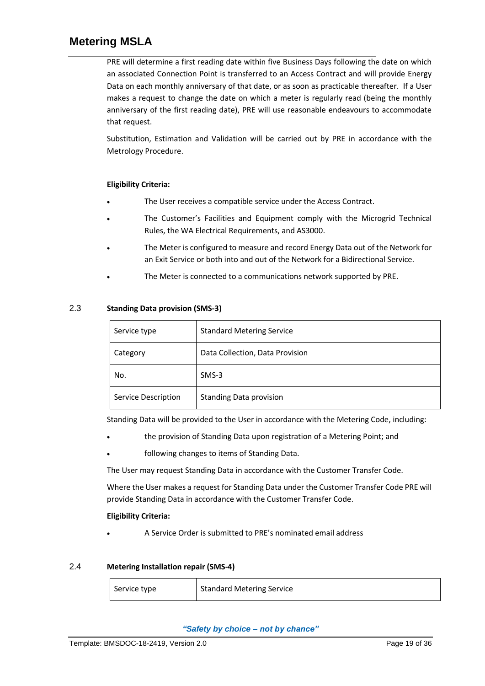PRE will determine a first reading date within five Business Days following the date on which an associated Connection Point is transferred to an Access Contract and will provide Energy Data on each monthly anniversary of that date, or as soon as practicable thereafter. If a User makes a request to change the date on which a meter is regularly read (being the monthly anniversary of the first reading date), PRE will use reasonable endeavours to accommodate that request.

Substitution, Estimation and Validation will be carried out by PRE in accordance with the Metrology Procedure.

#### **Eligibility Criteria:**

- The User receives a compatible service under the Access Contract.
- The Customer's Facilities and Equipment comply with the Microgrid Technical Rules, the WA Electrical Requirements, and AS3000.
- The Meter is configured to measure and record Energy Data out of the Network for an Exit Service or both into and out of the Network for a Bidirectional Service.
- The Meter is connected to a communications network supported by PRE.

### 2.3 **Standing Data provision (SMS‐3)**

| Service type        | <b>Standard Metering Service</b> |
|---------------------|----------------------------------|
| Category            | Data Collection, Data Provision  |
| No.                 | SMS-3                            |
| Service Description | <b>Standing Data provision</b>   |

Standing Data will be provided to the User in accordance with the Metering Code, including:

- the provision of Standing Data upon registration of a Metering Point; and
- following changes to items of Standing Data.

The User may request Standing Data in accordance with the Customer Transfer Code.

Where the User makes a request for Standing Data under the Customer Transfer Code PRE will provide Standing Data in accordance with the Customer Transfer Code.

#### **Eligibility Criteria:**

• A Service Order is submitted to PRE's nominated email address

### 2.4 **Metering Installation repair (SMS‐4)**

Service type **Subseter** Standard Metering Service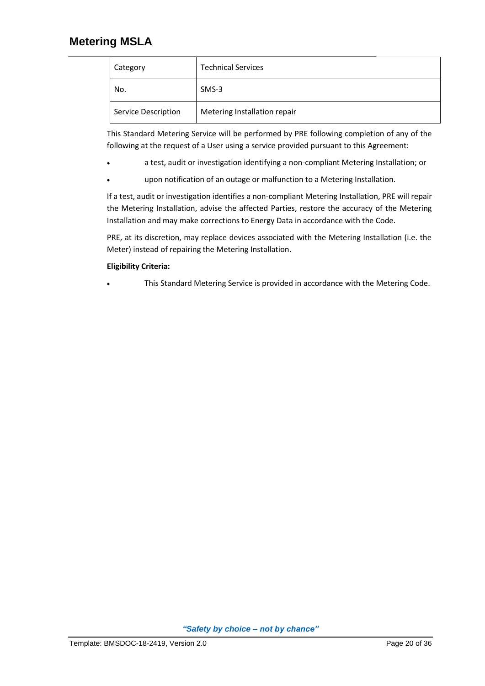| Category            | <b>Technical Services</b>    |
|---------------------|------------------------------|
| No.                 | $SMS-3$                      |
| Service Description | Metering Installation repair |

This Standard Metering Service will be performed by PRE following completion of any of the following at the request of a User using a service provided pursuant to this Agreement:

- a test, audit or investigation identifying a non‐compliant Metering Installation; or
- upon notification of an outage or malfunction to a Metering Installation.

If a test, audit or investigation identifies a non-compliant Metering Installation, PRE will repair the Metering Installation, advise the affected Parties, restore the accuracy of the Metering Installation and may make corrections to Energy Data in accordance with the Code.

PRE, at its discretion, may replace devices associated with the Metering Installation (i.e. the Meter) instead of repairing the Metering Installation.

### **Eligibility Criteria:**

This Standard Metering Service is provided in accordance with the Metering Code.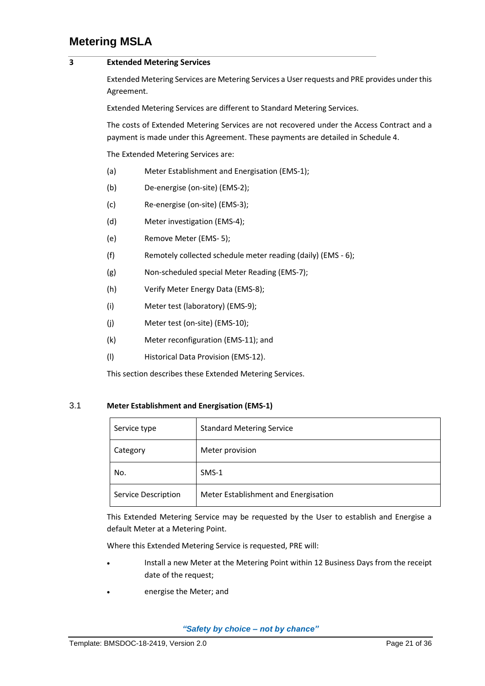#### **3 Extended Metering Services**

Extended Metering Services are Metering Services a User requests and PRE provides under this Agreement.

Extended Metering Services are different to Standard Metering Services.

The costs of Extended Metering Services are not recovered under the Access Contract and a payment is made under this Agreement. These payments are detailed i[n Schedule 4.](#page-34-0)

The Extended Metering Services are:

- (a) Meter Establishment and Energisation (EMS-1);
- (b) De‐energise (on-site) (EMS‐2);
- (c) Re‐energise (on-site) (EMS‐3);
- (d) Meter investigation (EMS‐4);
- (e) Remove Meter (EMS- 5);
- (f) Remotely collected schedule meter reading (daily) (EMS 6);
- (g) Non‐scheduled special Meter Reading (EMS‐7);
- (h) Verify Meter Energy Data (EMS‐8);
- (i) Meter test (laboratory) (EMS‐9);
- (j) Meter test (on‐site) (EMS‐10);
- (k) Meter reconfiguration (EMS-11); and
- (l) Historical Data Provision (EMS-12).

This section describes these Extended Metering Services.

#### 3.1 **Meter Establishment and Energisation (EMS‐1)**

| Service type        | <b>Standard Metering Service</b>     |
|---------------------|--------------------------------------|
| Category            | Meter provision                      |
| No.                 | $SMS-1$                              |
| Service Description | Meter Establishment and Energisation |

This Extended Metering Service may be requested by the User to establish and Energise a default Meter at a Metering Point.

Where this Extended Metering Service is requested, PRE will:

- Install a new Meter at the Metering Point within 12 Business Days from the receipt date of the request;
- energise the Meter; and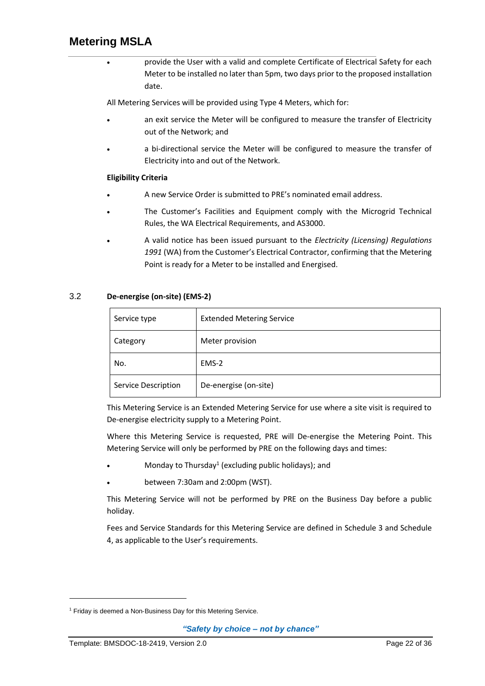• provide the User with a valid and complete Certificate of Electrical Safety for each Meter to be installed no later than 5pm, two days prior to the proposed installation date.

All Metering Services will be provided using Type 4 Meters, which for:

- an exit service the Meter will be configured to measure the transfer of Electricity out of the Network; and
- a bi-directional service the Meter will be configured to measure the transfer of Electricity into and out of the Network.

### **Eligibility Criteria**

- A new Service Order is submitted to PRE's nominated email address.
- The Customer's Facilities and Equipment comply with the Microgrid Technical Rules, the WA Electrical Requirements, and AS3000.
- A valid notice has been issued pursuant to the *Electricity (Licensing) Regulations 1991* (WA) from the Customer's Electrical Contractor, confirming that the Metering Point is ready for a Meter to be installed and Energised.

### 3.2 **De‐energise (on-site) (EMS‐2)**

| Service type        | <b>Extended Metering Service</b> |
|---------------------|----------------------------------|
| Category            | Meter provision                  |
| No.                 | EMS-2                            |
| Service Description | De-energise (on-site)            |

This Metering Service is an Extended Metering Service for use where a site visit is required to De-energise electricity supply to a Metering Point.

Where this Metering Service is requested, PRE will De-energise the Metering Point. This Metering Service will only be performed by PRE on the following days and times:

- Monday to Thursday<sup>1</sup> (excluding public holidays); and
- between 7:30am and 2:00pm (WST).

This Metering Service will not be performed by PRE on the Business Day before a public holiday.

Fees and Service Standards for this Metering Service are defined in [Schedule 3](#page-31-0) an[d Schedule](#page-34-0)  [4](#page-34-0), as applicable to the User's requirements.

<sup>&</sup>lt;sup>1</sup> Friday is deemed a Non-Business Day for this Metering Service.

*<sup>&</sup>quot;Safety by choice – not by chance"*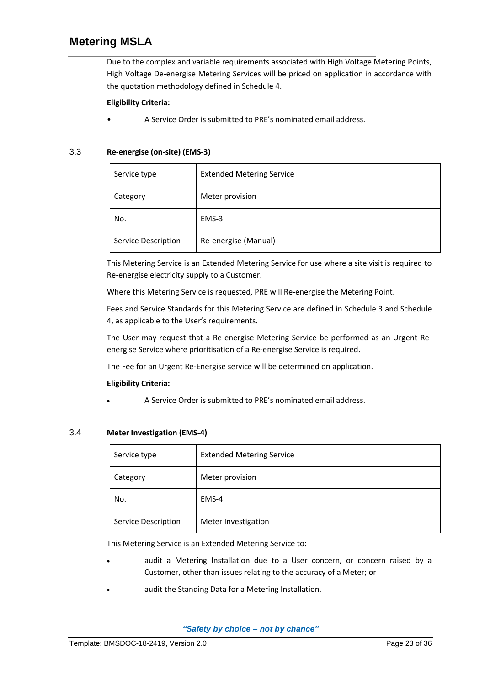Due to the complex and variable requirements associated with High Voltage Metering Points, High Voltage De‐energise Metering Services will be priced on application in accordance with the quotation methodology defined in [Schedule 4.](#page-34-0)

### **Eligibility Criteria:**

• A Service Order is submitted to PRE's nominated email address.

### 3.3 **Re‐energise (on-site) (EMS‐3)**

| Service type        | <b>Extended Metering Service</b> |
|---------------------|----------------------------------|
| Category            | Meter provision                  |
| No.                 | EMS-3                            |
| Service Description | Re-energise (Manual)             |

This Metering Service is an Extended Metering Service for use where a site visit is required to Re‐energise electricity supply to a Customer.

Where this Metering Service is requested, PRE will Re-energise the Metering Point.

Fees and Service Standards for this Metering Service are defined in [Schedule 3](#page-31-0) an[d Schedule](#page-34-0)  [4](#page-34-0), as applicable to the User's requirements.

The User may request that a Re-energise Metering Service be performed as an Urgent Reenergise Service where prioritisation of a Re‐energise Service is required.

The Fee for an Urgent Re-Energise service will be determined on application.

#### **Eligibility Criteria:**

• A Service Order is submitted to PRE's nominated email address.

#### 3.4 **Meter Investigation (EMS‐4)**

| Service type        | <b>Extended Metering Service</b> |
|---------------------|----------------------------------|
| Category            | Meter provision                  |
| No.                 | EMS-4                            |
| Service Description | Meter Investigation              |

This Metering Service is an Extended Metering Service to:

- audit a Metering Installation due to a User concern, or concern raised by a Customer, other than issues relating to the accuracy of a Meter; or
- audit the Standing Data for a Metering Installation.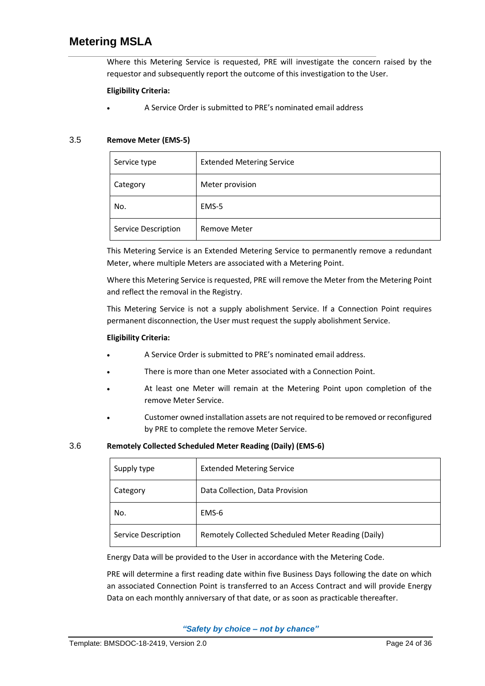Where this Metering Service is requested, PRE will investigate the concern raised by the requestor and subsequently report the outcome of this investigation to the User.

#### **Eligibility Criteria:**

• A Service Order is submitted to PRE's nominated email address

#### 3.5 **Remove Meter (EMS‐5)**

| Service type        | <b>Extended Metering Service</b> |
|---------------------|----------------------------------|
| Category            | Meter provision                  |
| No.                 | EMS-5                            |
| Service Description | <b>Remove Meter</b>              |

This Metering Service is an Extended Metering Service to permanently remove a redundant Meter, where multiple Meters are associated with a Metering Point.

Where this Metering Service is requested, PRE will remove the Meter from the Metering Point and reflect the removal in the Registry.

This Metering Service is not a supply abolishment Service. If a Connection Point requires permanent disconnection, the User must request the supply abolishment Service.

#### **Eligibility Criteria:**

- A Service Order is submitted to PRE's nominated email address.
- There is more than one Meter associated with a Connection Point.
- At least one Meter will remain at the Metering Point upon completion of the remove Meter Service.
- Customer owned installation assets are not required to be removed or reconfigured by PRE to complete the remove Meter Service.

#### 3.6 **Remotely Collected Scheduled Meter Reading (Daily) (EMS‐6)**

| Supply type         | <b>Extended Metering Service</b>                   |
|---------------------|----------------------------------------------------|
| Category            | Data Collection, Data Provision                    |
| No.                 | EMS-6                                              |
| Service Description | Remotely Collected Scheduled Meter Reading (Daily) |

Energy Data will be provided to the User in accordance with the Metering Code.

PRE will determine a first reading date within five Business Days following the date on which an associated Connection Point is transferred to an Access Contract and will provide Energy Data on each monthly anniversary of that date, or as soon as practicable thereafter.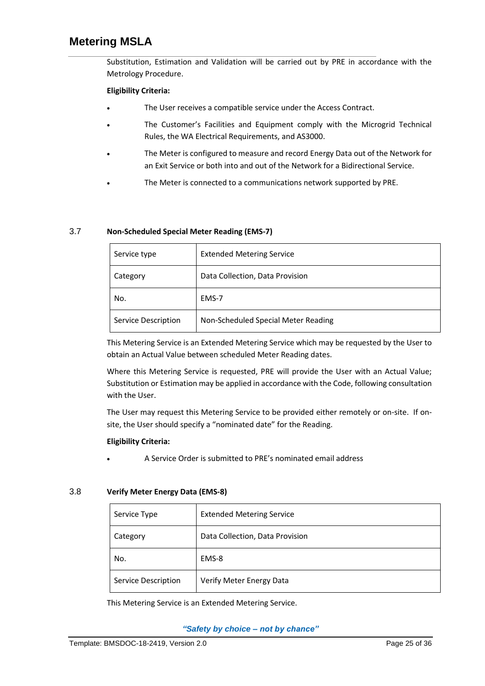Substitution, Estimation and Validation will be carried out by PRE in accordance with the Metrology Procedure.

#### **Eligibility Criteria:**

- The User receives a compatible service under the Access Contract.
- The Customer's Facilities and Equipment comply with the Microgrid Technical Rules, the WA Electrical Requirements, and AS3000.
- The Meter is configured to measure and record Energy Data out of the Network for an Exit Service or both into and out of the Network for a Bidirectional Service.
- The Meter is connected to a communications network supported by PRE.

### 3.7 **Non‐Scheduled Special Meter Reading (EMS‐7)**

| Service type        | <b>Extended Metering Service</b>    |
|---------------------|-------------------------------------|
| Category            | Data Collection, Data Provision     |
| No.                 | EMS-7                               |
| Service Description | Non-Scheduled Special Meter Reading |

This Metering Service is an Extended Metering Service which may be requested by the User to obtain an Actual Value between scheduled Meter Reading dates.

Where this Metering Service is requested, PRE will provide the User with an Actual Value; Substitution or Estimation may be applied in accordance with the Code, following consultation with the User.

The User may request this Metering Service to be provided either remotely or on-site. If onsite, the User should specify a "nominated date" for the Reading.

#### **Eligibility Criteria:**

• A Service Order is submitted to PRE's nominated email address

#### 3.8 **Verify Meter Energy Data (EMS‐8)**

| Service Type        | <b>Extended Metering Service</b> |
|---------------------|----------------------------------|
| Category            | Data Collection, Data Provision  |
| No.                 | EMS-8                            |
| Service Description | Verify Meter Energy Data         |

This Metering Service is an Extended Metering Service.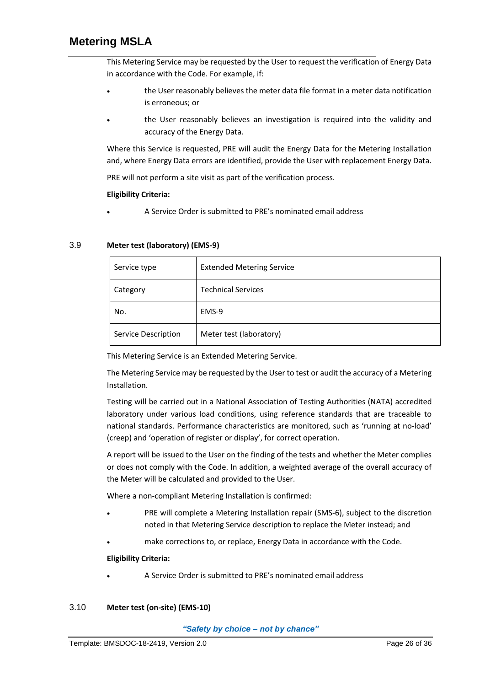This Metering Service may be requested by the User to request the verification of Energy Data in accordance with the Code. For example, if:

- the User reasonably believes the meter data file format in a meter data notification is erroneous; or
- the User reasonably believes an investigation is required into the validity and accuracy of the Energy Data.

Where this Service is requested, PRE will audit the Energy Data for the Metering Installation and, where Energy Data errors are identified, provide the User with replacement Energy Data.

PRE will not perform a site visit as part of the verification process.

#### **Eligibility Criteria:**

• A Service Order is submitted to PRE's nominated email address

#### 3.9 **Meter test (laboratory) (EMS‐9)**

| Service type        | <b>Extended Metering Service</b> |
|---------------------|----------------------------------|
| Category            | <b>Technical Services</b>        |
| No.                 | EMS-9                            |
| Service Description | Meter test (laboratory)          |

This Metering Service is an Extended Metering Service.

The Metering Service may be requested by the User to test or audit the accuracy of a Metering Installation.

Testing will be carried out in a National Association of Testing Authorities (NATA) accredited laboratory under various load conditions, using reference standards that are traceable to national standards. Performance characteristics are monitored, such as 'running at no‐load' (creep) and 'operation of register or display', for correct operation.

A report will be issued to the User on the finding of the tests and whether the Meter complies or does not comply with the Code. In addition, a weighted average of the overall accuracy of the Meter will be calculated and provided to the User.

Where a non‐compliant Metering Installation is confirmed:

- PRE will complete a Metering Installation repair (SMS-6), subject to the discretion noted in that Metering Service description to replace the Meter instead; and
- make corrections to, or replace, Energy Data in accordance with the Code.

#### **Eligibility Criteria:**

• A Service Order is submitted to PRE's nominated email address

#### 3.10 **Meter test (on‐site) (EMS‐10)**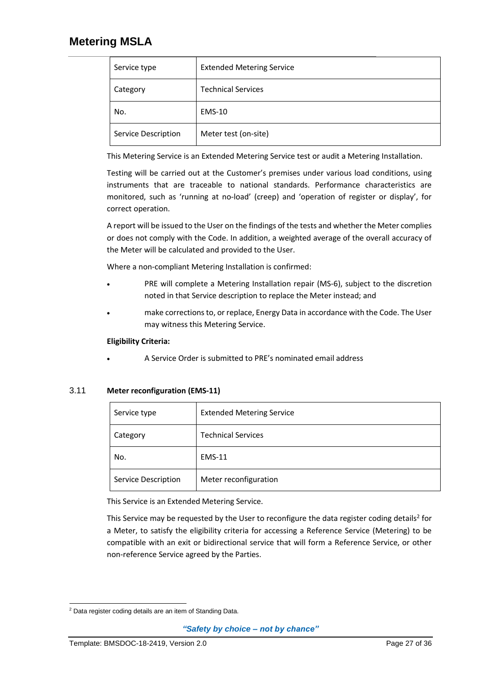| Service type        | <b>Extended Metering Service</b> |
|---------------------|----------------------------------|
| Category            | <b>Technical Services</b>        |
| No.                 | <b>EMS-10</b>                    |
| Service Description | Meter test (on-site)             |

This Metering Service is an Extended Metering Service test or audit a Metering Installation.

Testing will be carried out at the Customer's premises under various load conditions, using instruments that are traceable to national standards. Performance characteristics are monitored, such as 'running at no‐load' (creep) and 'operation of register or display', for correct operation.

A report will be issued to the User on the findings of the tests and whether the Meter complies or does not comply with the Code. In addition, a weighted average of the overall accuracy of the Meter will be calculated and provided to the User.

Where a non‐compliant Metering Installation is confirmed:

- PRE will complete a Metering Installation repair (MS-6), subject to the discretion noted in that Service description to replace the Meter instead; and
- make corrections to, or replace, Energy Data in accordance with the Code. The User may witness this Metering Service.

### **Eligibility Criteria:**

• A Service Order is submitted to PRE's nominated email address

### 3.11 **Meter reconfiguration (EMS‐11)**

| Service type        | <b>Extended Metering Service</b> |
|---------------------|----------------------------------|
| Category            | <b>Technical Services</b>        |
| No.                 | <b>EMS-11</b>                    |
| Service Description | Meter reconfiguration            |

This Service is an Extended Metering Service.

This Service may be requested by the User to reconfigure the data register coding details<sup>2</sup> for a Meter, to satisfy the eligibility criteria for accessing a Reference Service (Metering) to be compatible with an exit or bidirectional service that will form a Reference Service, or other non‐reference Service agreed by the Parties.

<sup>2</sup> Data register coding details are an item of Standing Data.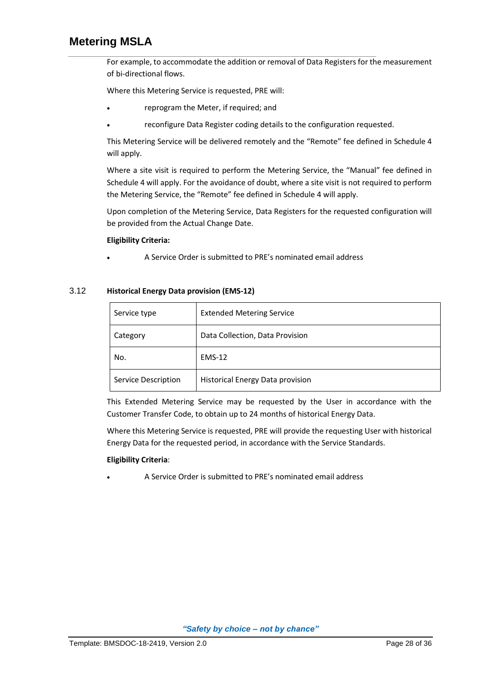For example, to accommodate the addition or removal of Data Registers for the measurement of bi‐directional flows.

Where this Metering Service is requested, PRE will:

- reprogram the Meter, if required; and
- reconfigure Data Register coding details to the configuration requested.

This Metering Service will be delivered remotely and the "Remote" fee defined in [Schedule 4](#page-34-0) will apply.

Where a site visit is required to perform the Metering Service, the "Manual" fee defined in [Schedule 4](#page-34-0) will apply. For the avoidance of doubt, where a site visit is not required to perform the Metering Service, the "Remote" fee defined in [Schedule 4](#page-34-0) will apply.

Upon completion of the Metering Service, Data Registers for the requested configuration will be provided from the Actual Change Date.

#### **Eligibility Criteria:**

• A Service Order is submitted to PRE's nominated email address

#### 3.12 **Historical Energy Data provision (EMS‐12)**

| Service type        | <b>Extended Metering Service</b> |
|---------------------|----------------------------------|
| Category            | Data Collection, Data Provision  |
| No.                 | <b>EMS-12</b>                    |
| Service Description | Historical Energy Data provision |

This Extended Metering Service may be requested by the User in accordance with the Customer Transfer Code, to obtain up to 24 months of historical Energy Data.

Where this Metering Service is requested, PRE will provide the requesting User with historical Energy Data for the requested period, in accordance with the Service Standards.

#### **Eligibility Criteria**:

• A Service Order is submitted to PRE's nominated email address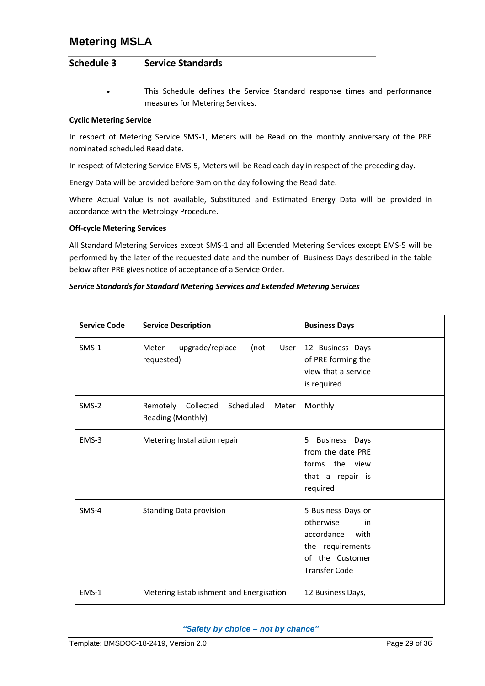### <span id="page-31-0"></span>**Schedule 3 Service Standards**

This Schedule defines the Service Standard response times and performance measures for Metering Services.

### **Cyclic Metering Service**

In respect of Metering Service SMS‐1, Meters will be Read on the monthly anniversary of the PRE nominated scheduled Read date.

In respect of Metering Service EMS-5, Meters will be Read each day in respect of the preceding day.

Energy Data will be provided before 9am on the day following the Read date.

Where Actual Value is not available, Substituted and Estimated Energy Data will be provided in accordance with the Metrology Procedure.

#### **Off‐cycle Metering Services**

All Standard Metering Services except SMS-1 and all Extended Metering Services except EMS-5 will be performed by the later of the requested date and the number of Business Days described in the table below after PRE gives notice of acceptance of a Service Order.

#### *Service Standards for Standard Metering Services and Extended Metering Services*

| <b>Service Code</b> | <b>Service Description</b>                                 | <b>Business Days</b>                                                                                                       |
|---------------------|------------------------------------------------------------|----------------------------------------------------------------------------------------------------------------------------|
| $SMS-1$             | upgrade/replace<br>(not<br>User<br>Meter<br>requested)     | 12 Business Days<br>of PRE forming the<br>view that a service<br>is required                                               |
| $SMS-2$             | Remotely Collected Scheduled<br>Meter<br>Reading (Monthly) | Monthly                                                                                                                    |
| EMS-3               | Metering Installation repair                               | <b>Business Days</b><br>5.<br>from the date PRE<br>forms the view<br>that a repair is<br>required                          |
| $SMS-4$             | <b>Standing Data provision</b>                             | 5 Business Days or<br>otherwise<br>in<br>accordance<br>with<br>the requirements<br>of the Customer<br><b>Transfer Code</b> |
| EMS-1               | Metering Establishment and Energisation                    | 12 Business Days,                                                                                                          |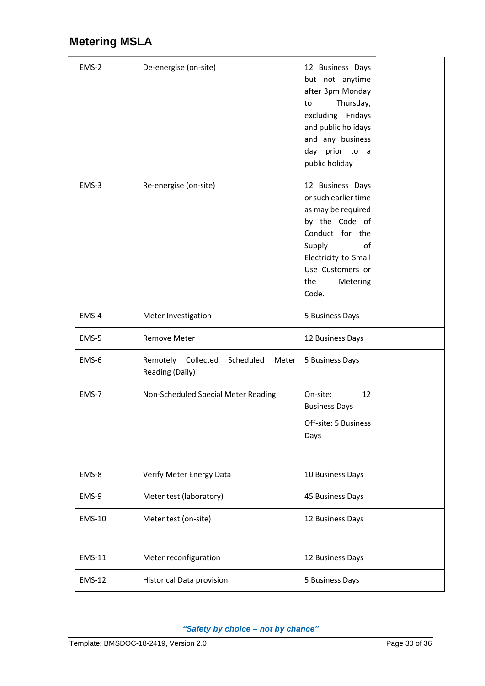$\overline{a}$ 

| EMS-2         | De-energise (on-site)                                          | 12 Business Days<br>but not anytime<br>after 3pm Monday<br>Thursday,<br>to<br>excluding Fridays<br>and public holidays<br>and any business<br>day prior to a<br>public holiday              |  |
|---------------|----------------------------------------------------------------|---------------------------------------------------------------------------------------------------------------------------------------------------------------------------------------------|--|
| EMS-3         | Re-energise (on-site)                                          | 12 Business Days<br>or such earlier time<br>as may be required<br>by the Code of<br>Conduct for the<br>Supply<br>of<br>Electricity to Small<br>Use Customers or<br>the<br>Metering<br>Code. |  |
| EMS-4         | Meter Investigation                                            | 5 Business Days                                                                                                                                                                             |  |
| EMS-5         | Remove Meter                                                   | 12 Business Days                                                                                                                                                                            |  |
| EMS-6         | Remotely<br>Collected<br>Scheduled<br>Meter<br>Reading (Daily) | 5 Business Days                                                                                                                                                                             |  |
| EMS-7         | Non-Scheduled Special Meter Reading                            | On-site:<br>12<br><b>Business Days</b><br>Off-site: 5 Business<br>Days                                                                                                                      |  |
| EMS-8         | Verify Meter Energy Data                                       | 10 Business Days                                                                                                                                                                            |  |
| EMS-9         | Meter test (laboratory)                                        | 45 Business Days                                                                                                                                                                            |  |
| <b>EMS-10</b> | Meter test (on-site)                                           | 12 Business Days                                                                                                                                                                            |  |
| <b>EMS-11</b> | Meter reconfiguration                                          | 12 Business Days                                                                                                                                                                            |  |
| <b>EMS-12</b> | <b>Historical Data provision</b>                               | 5 Business Days                                                                                                                                                                             |  |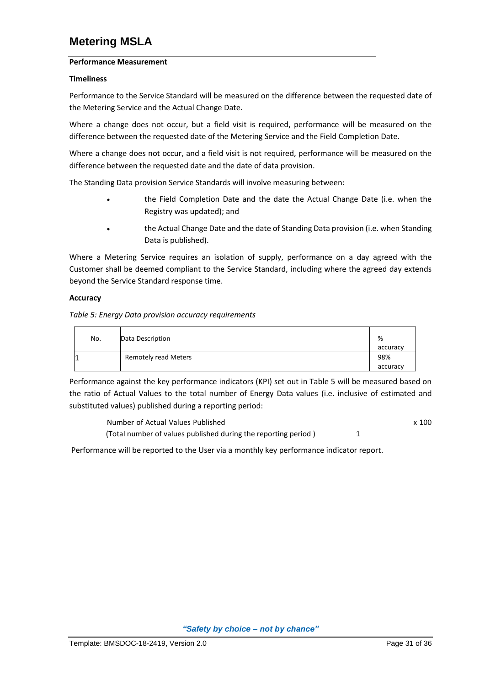#### **Performance Measurement**

#### **Timeliness**

Performance to the Service Standard will be measured on the difference between the requested date of the Metering Service and the Actual Change Date.

Where a change does not occur, but a field visit is required, performance will be measured on the difference between the requested date of the Metering Service and the Field Completion Date.

Where a change does not occur, and a field visit is not required, performance will be measured on the difference between the requested date and the date of data provision.

The Standing Data provision Service Standards will involve measuring between:

- the Field Completion Date and the date the Actual Change Date (i.e. when the Registry was updated); and
- the Actual Change Date and the date of Standing Data provision (i.e. when Standing Data is published).

Where a Metering Service requires an isolation of supply, performance on a day agreed with the Customer shall be deemed compliant to the Service Standard, including where the agreed day extends beyond the Service Standard response time.

#### **Accuracy**

*Table 5: Energy Data provision accuracy requirements*

| No. | Data Description     | %               |
|-----|----------------------|-----------------|
|     | Remotely read Meters | accuracy<br>98% |
|     |                      | accuracy        |

Performance against the key performance indicators (KPI) set out in Table 5 will be measured based on the ratio of Actual Values to the total number of Energy Data values (i.e. inclusive of estimated and substituted values) published during a reporting period:

| Number of Actual Values Published                              | x 100 |
|----------------------------------------------------------------|-------|
| (Total number of values published during the reporting period) |       |

Performance will be reported to the User via a monthly key performance indicator report.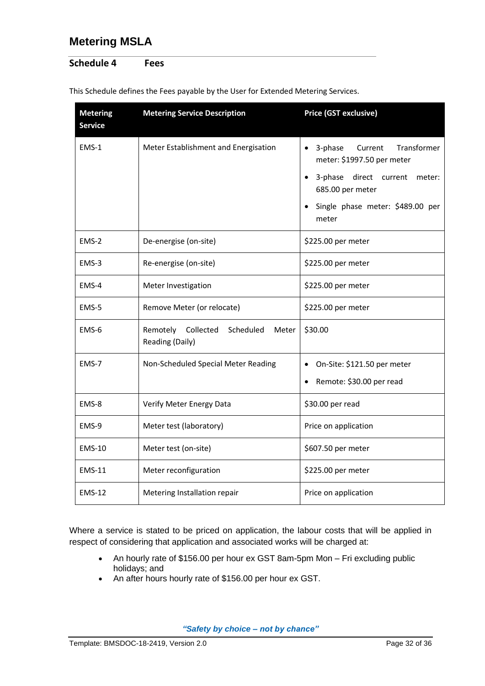## <span id="page-34-0"></span>**Schedule 4 Fees**

| <b>Metering</b><br><b>Service</b> | <b>Metering Service Description</b>                            | Price (GST exclusive)                                                     |  |
|-----------------------------------|----------------------------------------------------------------|---------------------------------------------------------------------------|--|
| $EMS-1$                           | Meter Establishment and Energisation                           | $\bullet$ 3-phase<br>Current<br>Transformer<br>meter: \$1997.50 per meter |  |
|                                   |                                                                | 3-phase<br>direct current<br>meter:<br>685.00 per meter                   |  |
|                                   |                                                                | Single phase meter: \$489.00 per<br>meter                                 |  |
| $EMS-2$                           | De-energise (on-site)                                          | \$225.00 per meter                                                        |  |
| EMS-3                             | Re-energise (on-site)                                          | \$225.00 per meter                                                        |  |
| EMS-4                             | Meter Investigation                                            | \$225.00 per meter                                                        |  |
| EMS-5                             | Remove Meter (or relocate)                                     | \$225.00 per meter                                                        |  |
| EMS-6                             | Remotely<br>Collected<br>Scheduled<br>Meter<br>Reading (Daily) | \$30.00                                                                   |  |
| EMS-7                             | Non-Scheduled Special Meter Reading                            | On-Site: \$121.50 per meter<br>$\bullet$                                  |  |
|                                   |                                                                | Remote: \$30.00 per read                                                  |  |
| EMS-8                             | Verify Meter Energy Data                                       | \$30.00 per read                                                          |  |
| EMS-9                             | Meter test (laboratory)                                        | Price on application                                                      |  |
| <b>EMS-10</b>                     | Meter test (on-site)                                           | \$607.50 per meter                                                        |  |
| <b>EMS-11</b>                     | Meter reconfiguration                                          | \$225.00 per meter                                                        |  |
| <b>EMS-12</b>                     | Metering Installation repair                                   | Price on application                                                      |  |

This Schedule defines the Fees payable by the User for Extended Metering Services.

Where a service is stated to be priced on application, the labour costs that will be applied in respect of considering that application and associated works will be charged at:

- An hourly rate of \$156.00 per hour ex GST 8am-5pm Mon Fri excluding public holidays; and
- An after hours hourly rate of \$156.00 per hour ex GST.